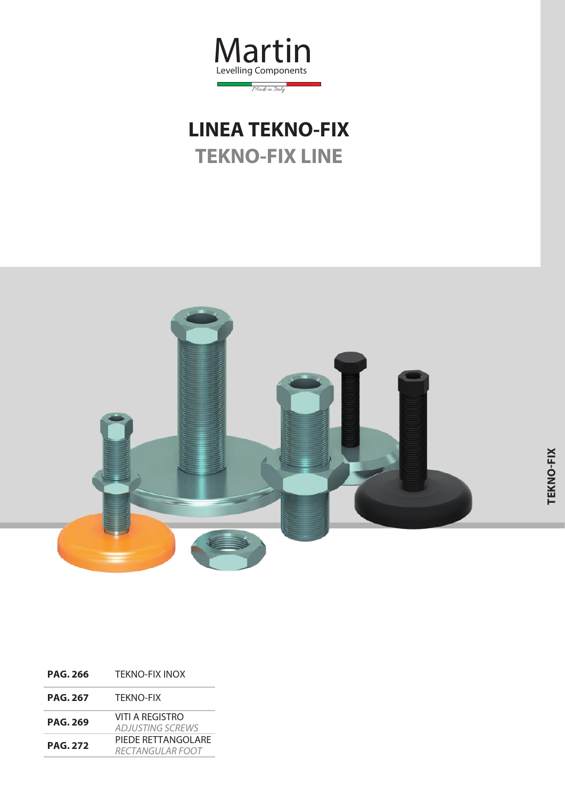

## **LINEA TEKNO-FIX TEKNO-FIX LINE**



| <b>PAG. 266</b> | <b>TEKNO-FIX INOX</b>                          |
|-----------------|------------------------------------------------|
| <b>PAG. 267</b> | <b>TEKNO-FIX</b>                               |
| <b>PAG. 269</b> | VITI A REGISTRO<br><b>ADJUSTING SCREWS</b>     |
| <b>PAG. 272</b> | PIEDE RETTANGOLARE<br><i>RECTANGUI AR EOOT</i> |
|                 |                                                |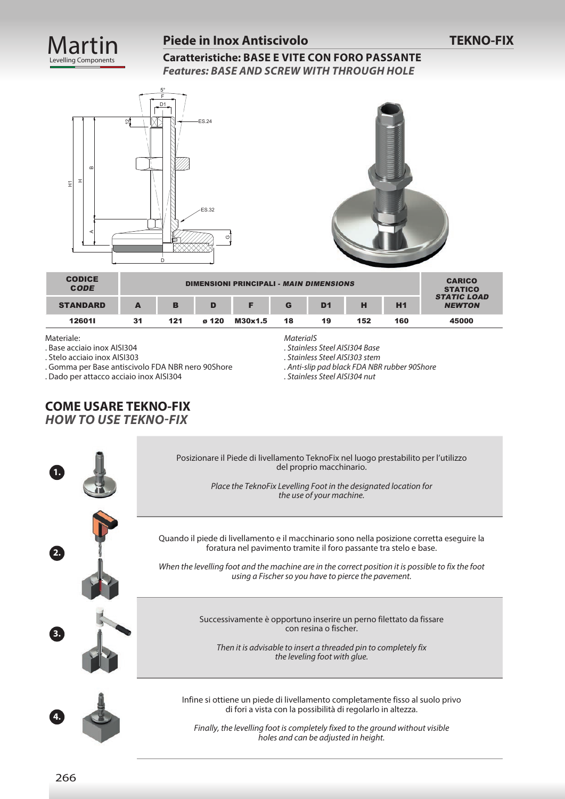

#### **Piede in Inox Antiscivolo**

**Caratteristiche: BASE E VITE CON FORO PASSANTE** *Features: BASE AND SCREW WITH THROUGH HOLE*





| <b>CODICE</b><br><b>CODE</b> |    | <b>CARICO</b><br><b>STATICO</b> |       |         |                                     |    |     |     |       |
|------------------------------|----|---------------------------------|-------|---------|-------------------------------------|----|-----|-----|-------|
| <b>STANDARD</b>              | А  | в                               | D     |         | <b>STATIC LOAD</b><br><b>NEWTON</b> |    |     |     |       |
| 126011                       | 31 | 121                             | ø 120 | M30x1.5 | 18                                  | 19 | 152 | 160 | 45000 |

Materiale:

. Base acciaio inox AISI304

. Stelo acciaio inox AISI303

. Gomma per Base antiscivolo FDA NBR nero 90Shore

. Dado per attacco acciaio inox AISI304

*MaterialS*

*. Stainless Steel AISI304 Base*

*. Stainless Steel AISI303 stem*

*. Anti-slip pad black FDA NBR rubber 90Shore*

*. Stainless Steel AISI304 nut*

#### **COME USARE TEKNO-FIX** *HOW TO USE TEKNO-FIX*

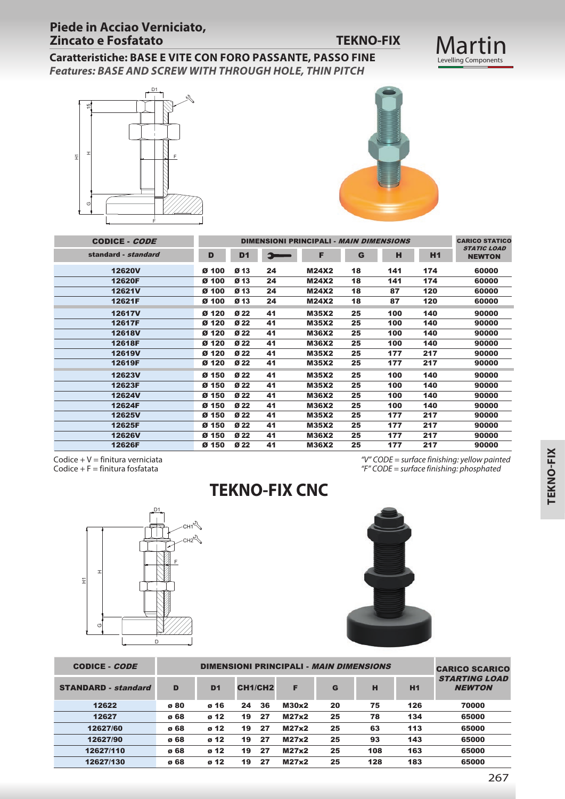## Martin<br>Levelling Components

**Caratteristiche: BASE E VITE CON FORO PASSANTE, PASSO FINE** *Features: BASE AND SCREW WITH THROUGH HOLE, THIN PITCH*





| H<br>되<br>O<br>F                                 | F                                            |                |                                    |          |                      |                              |                                                |                          |                                                       |
|--------------------------------------------------|----------------------------------------------|----------------|------------------------------------|----------|----------------------|------------------------------|------------------------------------------------|--------------------------|-------------------------------------------------------|
| <b>CODICE - CODE</b>                             |                                              |                |                                    |          |                      |                              | DIMENSIONI PRINCIPALI - MAIN DIMENSIONS        |                          | <b>CARICO STATICO</b>                                 |
| standard - standard                              |                                              | D              | D <sub>1</sub>                     | Э        |                      | F                            | G                                              | н                        | <b>STATIC LOAD</b><br>H <sub>1</sub><br><b>NEWTON</b> |
| <b>12620V</b>                                    |                                              | Ø 100          | Ø 13                               | 24       |                      | <b>M24X2</b>                 | 18                                             | 141<br>174               | 60000                                                 |
| 12620F                                           |                                              | Ø 100          | Ø <sub>13</sub>                    | 24       |                      | <b>M24X2</b>                 | 18                                             | 141<br>174               | 60000                                                 |
| 12621V                                           |                                              | Ø 100          | Ø <sub>13</sub>                    | 24       |                      | <b>M24X2</b>                 | 18                                             | 87<br>120                | 60000                                                 |
| 12621F                                           |                                              | Ø 100          | Ø <sub>13</sub>                    | 24       |                      | <b>M24X2</b>                 | 18                                             | 87<br>120                | 60000                                                 |
| <b>12617V</b>                                    |                                              | Ø 120          | Ø <sub>22</sub>                    | 41       |                      | <b>M35X2</b>                 | 25                                             | 100<br>140               | 90000                                                 |
| 12617F<br><b>12618V</b>                          |                                              | Ø 120<br>Ø 120 | Ø <sub>22</sub><br>Ø <sub>22</sub> | 41<br>41 |                      | <b>M35X2</b><br><b>M36X2</b> | 25<br>25                                       | 100<br>140<br>100<br>140 | 90000<br>90000                                        |
| 12618F                                           |                                              | Ø 120          | Ø <sub>22</sub>                    | 41       |                      | <b>M36X2</b>                 | 25                                             | 100<br>140               | 90000                                                 |
| 12619V                                           |                                              | Ø 120          | Ø <sub>22</sub>                    | 41       |                      | <b>M35X2</b>                 | 25                                             | 177<br>217               | 90000                                                 |
| 12619F                                           |                                              | Ø 120          | Ø <sub>22</sub>                    | 41       |                      | <b>M35X2</b>                 | 25                                             | 177<br>217               | 90000                                                 |
| 12623V                                           |                                              | Ø 150          | Ø <sub>22</sub>                    | 41       |                      | <b>M35X2</b>                 | 25                                             | 100<br>140               | 90000                                                 |
| 12623F                                           |                                              | Ø 150          | Ø <sub>22</sub>                    | 41       |                      | <b>M35X2</b>                 | 25                                             | 100<br>140               | 90000                                                 |
| <b>12624V</b>                                    |                                              | Ø 150          | Ø <sub>22</sub>                    | 41       |                      | <b>M36X2</b>                 | 25                                             | 100<br>140               | 90000                                                 |
| 12624F<br><b>12625V</b>                          |                                              | Ø 150<br>Ø 150 | Ø <sub>22</sub><br>Ø <sub>22</sub> | 41<br>41 |                      | <b>M36X2</b><br><b>M35X2</b> | 25<br>25                                       | 100<br>140<br>177<br>217 | 90000<br>90000                                        |
| 12625F                                           |                                              | Ø 150          | Ø <sub>22</sub>                    | 41       |                      | <b>M35X2</b>                 | 25                                             | 177<br>217               | 90000                                                 |
| 12626V                                           |                                              | Ø 150          | Ø <sub>22</sub>                    | 41       |                      | <b>M36X2</b>                 | 25                                             | 177<br>217               | 90000                                                 |
| 12626F                                           |                                              | Ø 150          | Ø <sub>22</sub>                    | 41       |                      | <b>M36X2</b>                 | 25                                             | 177<br>217               | 90000                                                 |
| Codice + $F =$ finitura fosfatata<br>H<br>Ξ<br>O | D1.<br>$CH1^2$<br>CH2 <sup>2</sup><br>F<br>D |                |                                    |          | <b>TEKNO-FIX CNC</b> |                              |                                                |                          | "F" CODE = surface finishing: phosphated              |
| CODICE - <i>CODE</i>                             |                                              |                |                                    |          |                      |                              | DIMENSIONI PRINCIPALI - <i>MAIN DIMENSIONS</i> |                          | <b>CARICO SCARICO</b><br><b>STARTING LOAD</b>         |
| <b>STANDARD</b> - standard                       | D                                            | D <sub>1</sub> |                                    | CH1/CH2  | F                    | G                            | н                                              | <b>H1</b>                | <b>NEWTON</b>                                         |
| 12622                                            | ø 80                                         | ø 16           | 24                                 | 36       | M30x2                | 20                           | 75                                             | 126                      | 70000                                                 |
| 12627                                            | ø 68                                         | ø 12           | 19                                 | 27       | <b>M27x2</b>         | 25                           | 78                                             | 134                      | 65000                                                 |
| 12627/60                                         | ø 68                                         | ø 12           | 19                                 | 27       | <b>M27x2</b>         | 25                           | 63                                             | 113                      | 65000                                                 |
| 12627/90                                         | ø 68                                         | ø 12           | 19                                 | 27       | <b>M27x2</b>         | 25                           | 93                                             | 143                      | 65000                                                 |
| 12627/110                                        | ø 68                                         | ø 12           | 19                                 | 27       | <b>M27x2</b>         | 25                           | 108                                            | 163                      | 65000                                                 |
| 12627/130                                        | ø 68                                         | ø 12           | 19                                 | 27       | <b>M27x2</b>         | 25                           | 128                                            | 183                      | 65000                                                 |



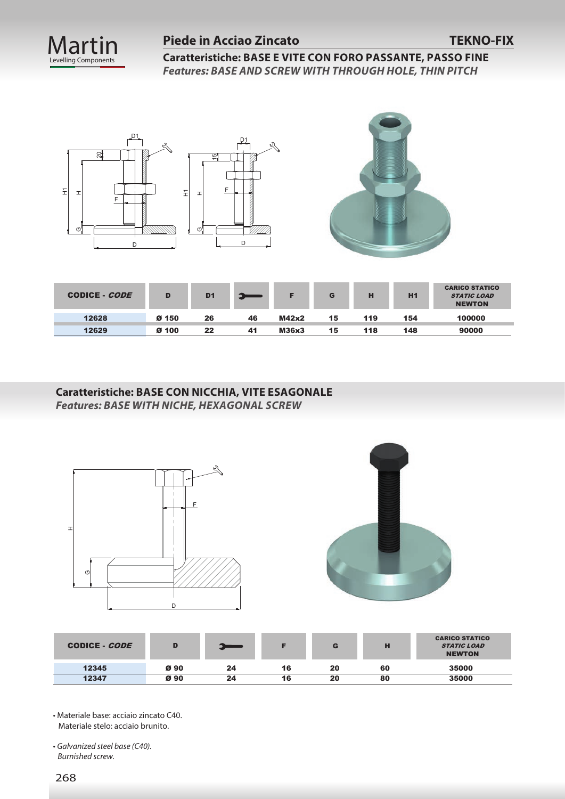

#### **Piede in Acciao Zincato TEKNO-FIX**

**Caratteristiche: BASE E VITE CON FORO PASSANTE, PASSO FINE** *Features: BASE AND SCREW WITH THROUGH HOLE, THIN PITCH*





| CODICE - CODE | D     | D <sub>1</sub> |    |       | G  | н   | H1  | <b>CARICO STATICO</b><br><b>STATIC LOAD</b><br><b>NEWTON</b> |
|---------------|-------|----------------|----|-------|----|-----|-----|--------------------------------------------------------------|
| 12628         | Ø 150 | 26             | 46 | M42x2 | 15 | 119 | 154 | 100000                                                       |
| 12629         | Ø 100 | 22             | 41 | M36x3 | 15 | 118 | 148 | 90000                                                        |

**Caratteristiche: BASE CON NICCHIA, VITE ESAGONALE** *Features: BASE WITH NICHE, HEXAGONAL SCREW*



• Materiale base: acciaio zincato C40. Materiale stelo: acciaio brunito.

• *Galvanized steel base (C40). Burnished screw.*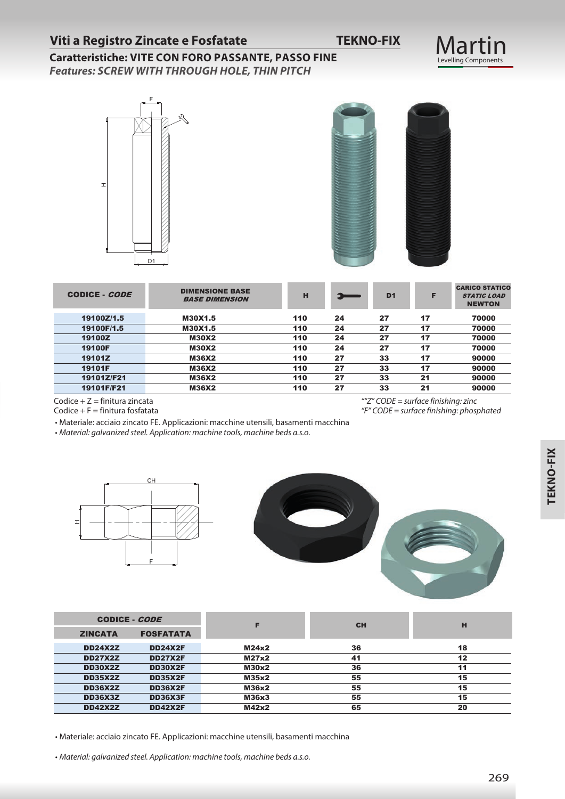### **Viti a Registro Zincate e Fosfatate TEKNO-FIX**

Martin<br>Levelling Components

### **Caratteristiche: VITE CON FORO PASSANTE, PASSO FINE**

*Features: SCREW WITH THROUGH HOLE, THIN PITCH*





| CODICE - CODE | <b>DIMENSIONE BASE</b><br><b>BASE DIMENSION</b> | н   |    | D <sub>1</sub> | F  | <b>CARICO STATICO</b><br><b>STATIC LOAD</b><br><b>NEWTON</b> |
|---------------|-------------------------------------------------|-----|----|----------------|----|--------------------------------------------------------------|
| 19100Z/1.5    | M30X1.5                                         | 110 | 24 | 27             | 17 | 70000                                                        |
| 19100F/1.5    | M30X1.5                                         | 110 | 24 | 27             | 17 | 70000                                                        |
| 19100Z        | <b>M30X2</b>                                    | 110 | 24 | 27             | 17 | 70000                                                        |
| <b>19100F</b> | <b>M30X2</b>                                    | 110 | 24 | 27             | 17 | 70000                                                        |
| 19101Z        | <b>M36X2</b>                                    | 110 | 27 | 33             | 17 | 90000                                                        |
| 19101F        | M36X2                                           | 110 | 27 | 33             | 17 | 90000                                                        |
| 19101Z/F21    | <b>M36X2</b>                                    | 110 | 27 | 33             | 21 | 90000                                                        |
| 19101F/F21    | <b>M36X2</b>                                    | 110 | 27 | 33             | 21 | 90000                                                        |

Codice  $+ Z =$  finitura zincata Codice  $+ F =$  finitura fosfatata  *""Z" CODE = surface finishing: zinc "F" CODE = surface finishing: phosphated*

• Materiale: acciaio zincato FE. Applicazioni: macchine utensili, basamenti macchina

• *Material: galvanized steel. Application: machine tools, machine beds a.s.o.*





| <b>CODICE - CODE</b> |                  |       | <b>CH</b> | н  |
|----------------------|------------------|-------|-----------|----|
| <b>ZINCATA</b>       | <b>FOSFATATA</b> |       |           |    |
| <b>DD24X2Z</b>       | <b>DD24X2F</b>   | M24x2 | 36        | 18 |
| <b>DD27X2Z</b>       | <b>DD27X2F</b>   | M27x2 | 41        | 12 |
| <b>DD30X2Z</b>       | <b>DD30X2F</b>   | M30x2 | 36        | 11 |
| <b>DD35X2Z</b>       | <b>DD35X2F</b>   | M35x2 | 55        | 15 |
| <b>DD36X2Z</b>       | <b>DD36X2F</b>   | M36x2 | 55        | 15 |
| <b>DD36X3Z</b>       | <b>DD36X3F</b>   | M36x3 | 55        | 15 |
| <b>DD42X2Z</b>       | <b>DD42X2F</b>   | M42x2 | 65        | 20 |

• Materiale: acciaio zincato FE. Applicazioni: macchine utensili, basamenti macchina

• *Material: galvanized steel. Application: machine tools, machine beds a.s.o.*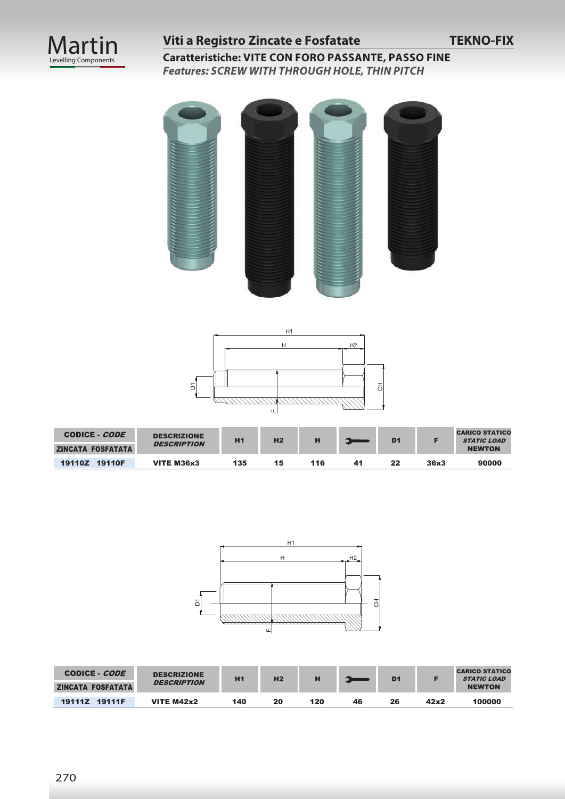

## **Viti a Registro Zincate e Fosfatate TEKNO-FIX**

**Caratteristiche: VITE CON FORO PASSANTE, PASSO FINE** *Features: SCREW WITH THROUGH HOLE, THIN PITCH*





| CODICE - <i>CODE</i><br>ZINCATA FOSFATATA | <b>DESCRIZIONE</b><br><b>DESCRIPTION</b> | H <sub>1</sub> | H <sub>2</sub> | п   |     | D <sub>1</sub> |      | <b>CARICO STATICO</b><br><b>STATIC LOAD</b><br><b>NEWTON</b> |
|-------------------------------------------|------------------------------------------|----------------|----------------|-----|-----|----------------|------|--------------------------------------------------------------|
| 19110Z 19110F                             | VITE M36x3                               | 135            | 15             | 116 | -41 | 22             | 36x3 | 90000                                                        |



| CODICE - <i>CODE</i>     | <b>DESCRIZIONE</b> | H1  | H <sub>2</sub> |     |    | D <sub>1</sub> |      | <b>CARICO STATICO</b><br><b>STATIC LOAD</b> |
|--------------------------|--------------------|-----|----------------|-----|----|----------------|------|---------------------------------------------|
| <b>ZINCATA FOSFATATA</b> | <b>DESCRIPTION</b> |     |                |     |    |                |      | <b>NEWTON</b>                               |
| 19111Z 19111F            | VITE $M42x2$       | 140 | 20             | 120 | 46 | 26             | 42x2 | 100000                                      |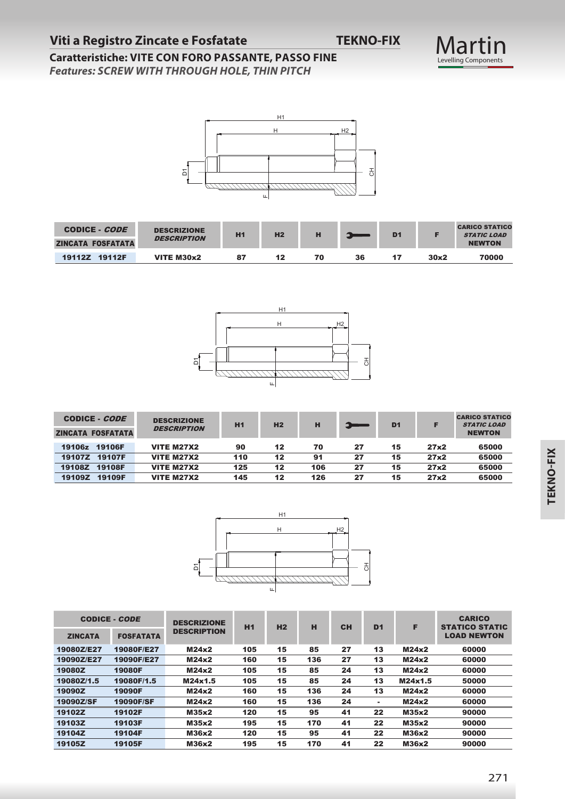# Martin<br>Levelling Components

## **Caratteristiche: VITE CON FORO PASSANTE, PASSO FINE**

*Features: SCREW WITH THROUGH HOLE, THIN PITCH*



| CODICE - <i>CODE</i>     | <b>DESCRIZIONE</b><br><b>DESCRIPTION</b> | H1 | H <sub>2</sub> | н  |    | D <sub>1</sub> |      | <b>CARICO STATICO</b><br><b>STATIC LOAD</b> |
|--------------------------|------------------------------------------|----|----------------|----|----|----------------|------|---------------------------------------------|
| <b>ZINCATA FOSFATATA</b> |                                          |    |                |    |    |                |      | <b>NEWTON</b>                               |
| <b>19112Z</b><br>19112F  | VITE M30x2                               | 87 | 12             | 70 | 36 |                | 30x2 | 70000                                       |



| CODICE - <i>CODE</i><br><b>ZINCATA FOSFATATA</b> | <b>DESCRIZIONE</b><br><b>DESCRIPTION</b> | H1  | H <sub>2</sub> | н   | 5- | D <sub>1</sub> |      | <b>CARICO STATICO</b><br><b>STATIC LOAD</b><br><b>NEWTON</b> |
|--------------------------------------------------|------------------------------------------|-----|----------------|-----|----|----------------|------|--------------------------------------------------------------|
| 19106F<br>19106z                                 | <b>VITE M27X2</b>                        | 90  | 12             | 70  | 27 | 15             | 27x2 | 65000                                                        |
| 19107F<br><b>19107Z</b>                          | <b>VITE M27X2</b>                        | 110 | 12             | 91  | 27 | 15             | 27x2 | 65000                                                        |
| 19108F<br>19108Z                                 | <b>VITE M27X2</b>                        | 125 | 12             | 106 | 27 | 15             | 27x2 | 65000                                                        |
| 19109F<br>19109Z                                 | <b>VITE M27X2</b>                        | 145 | 12             | 126 | 27 | 15             | 27x2 | 65000                                                        |



|                                                  |                      |                  | $\Delta$                                 |            | Щ              |            |           | 히              |                |              |                                                              |
|--------------------------------------------------|----------------------|------------------|------------------------------------------|------------|----------------|------------|-----------|----------------|----------------|--------------|--------------------------------------------------------------|
| CODICE - CODE<br><b>ZINCATA FOSFATATA</b>        |                      |                  | <b>DESCRIZIONE</b><br><b>DESCRIPTION</b> | H1         | H <sub>2</sub> | н          |           |                | D <sub>1</sub> | F            | <b>CARICO STATICO</b><br><b>STATIC LOAD</b><br><b>NEWTON</b> |
| 19112Z 19112F                                    |                      |                  | <b>VITE M30x2</b>                        | 87         | 12             | 70         | 36        |                | 17             | 30x2         | 70000                                                        |
|                                                  |                      |                  | ۵                                        |            | H1<br>H<br>Щ   |            | H2<br>공   |                |                |              | <b>CARICO STATICO</b>                                        |
| <b>CODICE - CODE</b><br><b>ZINCATA FOSFATATA</b> |                      |                  | <b>DESCRIZIONE</b><br><b>DESCRIPTION</b> | H1         | H <sub>2</sub> | н          |           |                | D <sub>1</sub> | F            | <b>STATIC LOAD</b><br><b>NEWTON</b>                          |
| 19106z 19106F                                    |                      |                  | <b>VITE M27X2</b>                        | 90         | 12             | 70         | 27        |                | 15             | 27x2         | 65000                                                        |
| 19107Z 19107F                                    |                      |                  | <b>VITE M27X2</b>                        | 110        | 12             | 91         | 27        |                | 15             | 27x2         | 65000                                                        |
| 19108Z 19108F<br>19109Z                          | 19109F               |                  | <b>VITE M27X2</b><br><b>VITE M27X2</b>   | 125<br>145 | 12<br>12       | 106<br>126 | 27<br>27  |                | 15<br>15       | 27x2<br>27x2 | 65000<br>65000                                               |
|                                                  |                      |                  | ۵                                        |            | H1<br>H<br>Щ   |            | H2<br>공   |                |                |              |                                                              |
| <b>ZINCATA</b>                                   | <b>CODICE - CODE</b> | <b>FOSFATATA</b> | <b>DESCRIZIONE</b><br><b>DESCRIPTION</b> | H1         | H2             | н          | <b>CH</b> | D <sub>1</sub> | F              |              | <b>CARICO</b><br><b>STATICO STATIC</b><br><b>LOAD NEWTON</b> |
| 19080Z/E27                                       | 19080F/E27           |                  | M24x2                                    | 105        | 15             | 85         | 27        | 13             | M24x2          |              | 60000                                                        |
| 19090Z/E27                                       | 19090F/E27           |                  | M24x2                                    | 160        | 15             | 136        | 27        | 13             | M24x2          |              | 60000                                                        |
| 19080Z                                           | <b>19080F</b>        |                  | <b>M24x2</b>                             | 105        | 15             | 85         | 24        | 13             | M24x2          |              | 60000                                                        |
| 19080Z/1.5                                       | 19080F/1.5           |                  | M24x1.5                                  | 105        | 15             | 85         | 24        | 13             | M24x1.5        |              | 50000                                                        |
| 19090Z                                           | 19090F               |                  | M24x2                                    | 160        | 15             | 136        | 24        | 13             | <b>M24x2</b>   |              | 60000                                                        |
| 19090Z/SF                                        | 19090F/SF            |                  | <b>M24x2</b>                             | 160        | 15             | 136        | 24        | $\blacksquare$ | M24x2          |              | 60000                                                        |
| 19102Z                                           | 19102F               |                  | M35x2                                    | 120        | 15             | 95         | 41        | 22             | M35x2          |              | 90000                                                        |
| 19103Z                                           | 19103F               |                  | M35x2                                    | 195        | 15             | 170        | 41        | 22             | M35x2          |              | 90000                                                        |
| 19104Z                                           | 19104F               |                  | M36x2                                    | 120        | 15             | 95         | 41        | 22             | M36x2          |              | 90000                                                        |
| 19105Z                                           | 19105F               |                  | M36x2                                    | 195        | 15             | 170        | 41        | 22             | M36x2          |              | 90000                                                        |